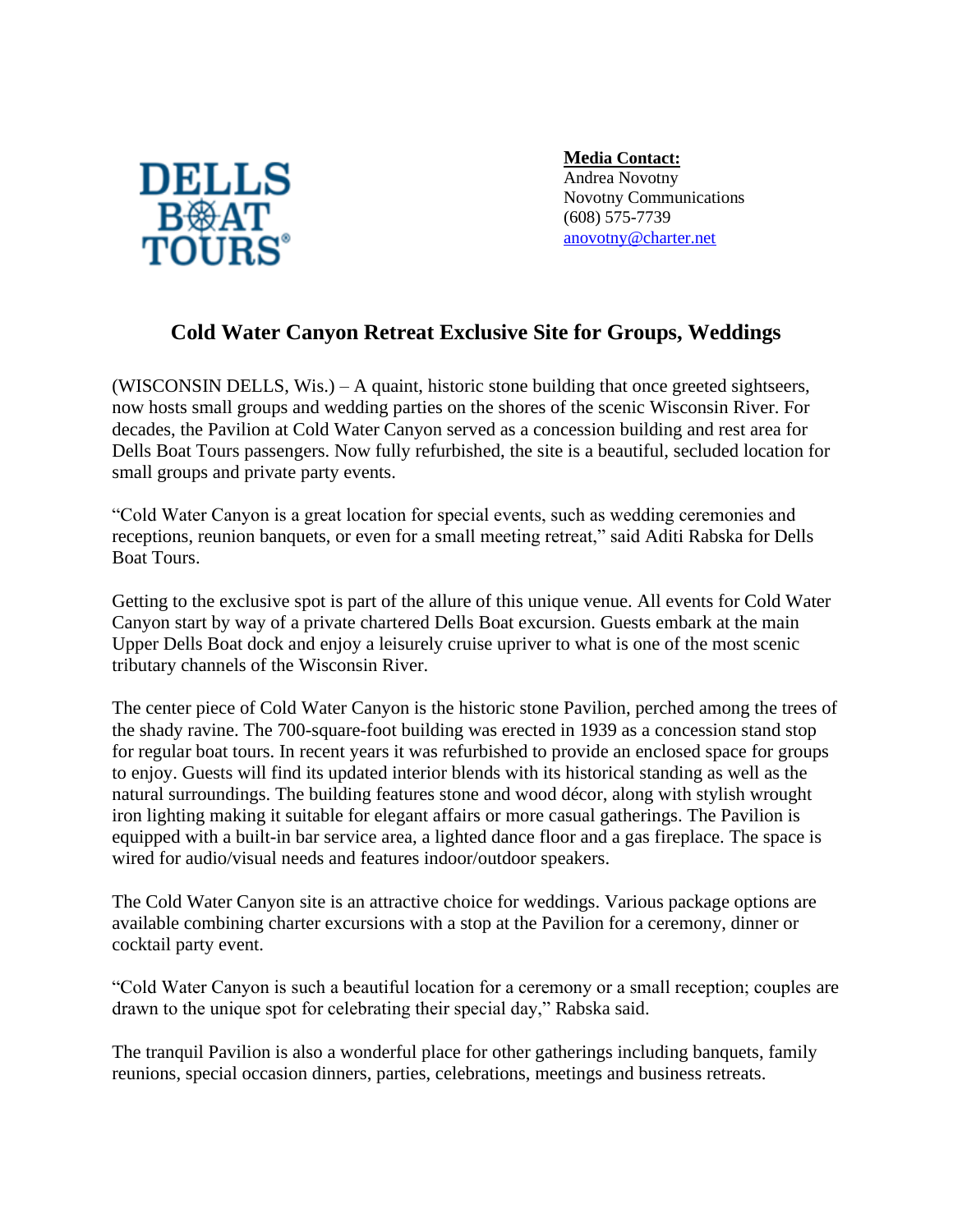

**Media Contact:** Andrea Novotny Novotny Communications (608) 575-7739 [anovotny@charter.net](mailto:anovotny@charter.net)

## **Cold Water Canyon Retreat Exclusive Site for Groups, Weddings**

(WISCONSIN DELLS, Wis.) – A quaint, historic stone building that once greeted sightseers, now hosts small groups and wedding parties on the shores of the scenic Wisconsin River. For decades, the Pavilion at Cold Water Canyon served as a concession building and rest area for Dells Boat Tours passengers. Now fully refurbished, the site is a beautiful, secluded location for small groups and private party events.

"Cold Water Canyon is a great location for special events, such as wedding ceremonies and receptions, reunion banquets, or even for a small meeting retreat," said Aditi Rabska for Dells Boat Tours.

Getting to the exclusive spot is part of the allure of this unique venue. All events for Cold Water Canyon start by way of a private chartered Dells Boat excursion. Guests embark at the main Upper Dells Boat dock and enjoy a leisurely cruise upriver to what is one of the most scenic tributary channels of the Wisconsin River.

The center piece of Cold Water Canyon is the historic stone Pavilion, perched among the trees of the shady ravine. The 700-square-foot building was erected in 1939 as a concession stand stop for regular boat tours. In recent years it was refurbished to provide an enclosed space for groups to enjoy. Guests will find its updated interior blends with its historical standing as well as the natural surroundings. The building features stone and wood décor, along with stylish wrought iron lighting making it suitable for elegant affairs or more casual gatherings. The Pavilion is equipped with a built-in bar service area, a lighted dance floor and a gas fireplace. The space is wired for audio/visual needs and features indoor/outdoor speakers.

The Cold Water Canyon site is an attractive choice for weddings. Various package options are available combining charter excursions with a stop at the Pavilion for a ceremony, dinner or cocktail party event.

"Cold Water Canyon is such a beautiful location for a ceremony or a small reception; couples are drawn to the unique spot for celebrating their special day," Rabska said.

The tranquil Pavilion is also a wonderful place for other gatherings including banquets, family reunions, special occasion dinners, parties, celebrations, meetings and business retreats.